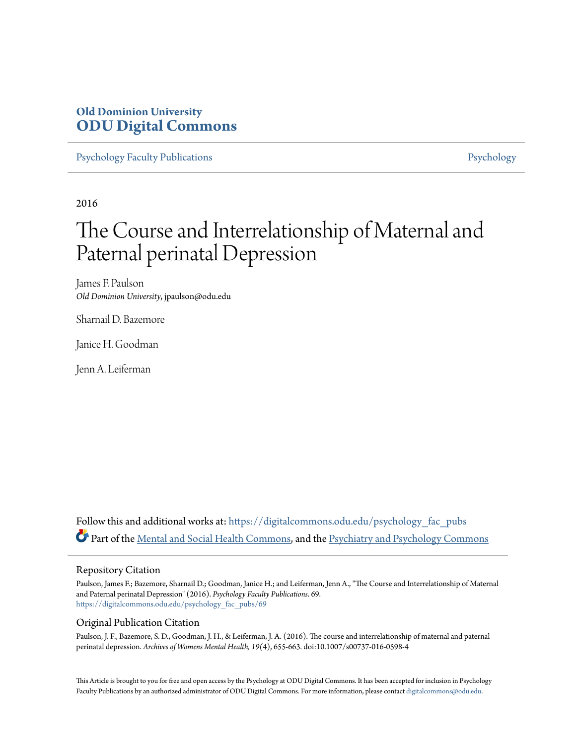## **Old Dominion University [ODU Digital Commons](https://digitalcommons.odu.edu?utm_source=digitalcommons.odu.edu%2Fpsychology_fac_pubs%2F69&utm_medium=PDF&utm_campaign=PDFCoverPages)**

[Psychology Faculty Publications](https://digitalcommons.odu.edu/psychology_fac_pubs?utm_source=digitalcommons.odu.edu%2Fpsychology_fac_pubs%2F69&utm_medium=PDF&utm_campaign=PDFCoverPages) **[Psychology](https://digitalcommons.odu.edu/psychology?utm_source=digitalcommons.odu.edu%2Fpsychology_fac_pubs%2F69&utm_medium=PDF&utm_campaign=PDFCoverPages)** Psychology

2016

# The Course and Interrelationship of Maternal and Paternal perinatal Depression

James F. Paulson *Old Dominion University*, jpaulson@odu.edu

Sharnail D. Bazemore

Janice H. Goodman

Jenn A. Leiferman

Follow this and additional works at: [https://digitalcommons.odu.edu/psychology\\_fac\\_pubs](https://digitalcommons.odu.edu/psychology_fac_pubs?utm_source=digitalcommons.odu.edu%2Fpsychology_fac_pubs%2F69&utm_medium=PDF&utm_campaign=PDFCoverPages) Part of the [Mental and Social Health Commons](http://network.bepress.com/hgg/discipline/709?utm_source=digitalcommons.odu.edu%2Fpsychology_fac_pubs%2F69&utm_medium=PDF&utm_campaign=PDFCoverPages), and the [Psychiatry and Psychology Commons](http://network.bepress.com/hgg/discipline/908?utm_source=digitalcommons.odu.edu%2Fpsychology_fac_pubs%2F69&utm_medium=PDF&utm_campaign=PDFCoverPages)

#### Repository Citation

Paulson, James F.; Bazemore, Sharnail D.; Goodman, Janice H.; and Leiferman, Jenn A., "The Course and Interrelationship of Maternal and Paternal perinatal Depression" (2016). *Psychology Faculty Publications*. 69. [https://digitalcommons.odu.edu/psychology\\_fac\\_pubs/69](https://digitalcommons.odu.edu/psychology_fac_pubs/69?utm_source=digitalcommons.odu.edu%2Fpsychology_fac_pubs%2F69&utm_medium=PDF&utm_campaign=PDFCoverPages)

#### Original Publication Citation

Paulson, J. F., Bazemore, S. D., Goodman, J. H., & Leiferman, J. A. (2016). The course and interrelationship of maternal and paternal perinatal depression. *Archives of Womens Mental Health, 19(*4), 655-663. doi:10.1007/s00737-016-0598-4

This Article is brought to you for free and open access by the Psychology at ODU Digital Commons. It has been accepted for inclusion in Psychology Faculty Publications by an authorized administrator of ODU Digital Commons. For more information, please contact [digitalcommons@odu.edu.](mailto:digitalcommons@odu.edu)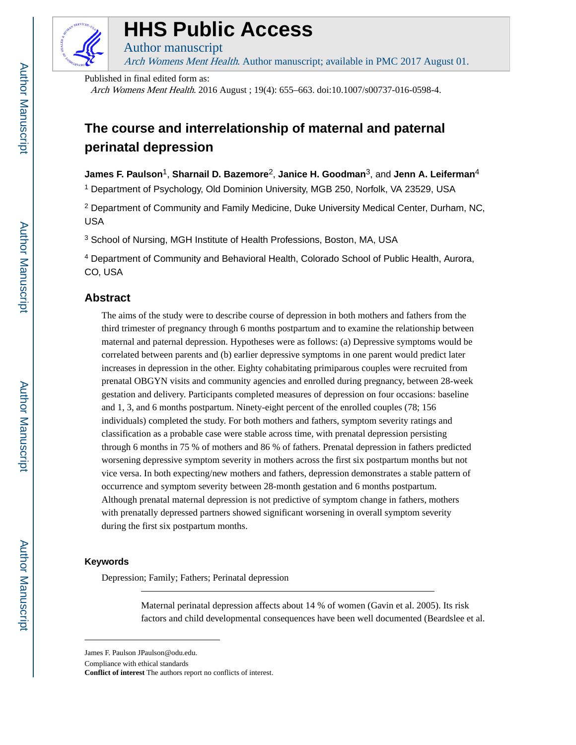

# **HHS Public Access**

Author manuscript Arch Womens Ment Health. Author manuscript; available in PMC 2017 August 01.

Published in final edited form as:

Arch Womens Ment Health. 2016 August ; 19(4): 655–663. doi:10.1007/s00737-016-0598-4.

# **The course and interrelationship of maternal and paternal perinatal depression**

**James F. Paulson<sup>1</sup>, Sharnail D. Bazemore<sup>2</sup>, Janice H. Goodman<sup>3</sup>, and Jenn A. Leiferman<sup>4</sup>** 

<sup>1</sup> Department of Psychology, Old Dominion University, MGB 250, Norfolk, VA 23529, USA

<sup>2</sup> Department of Community and Family Medicine, Duke University Medical Center, Durham, NC, USA

<sup>3</sup> School of Nursing, MGH Institute of Health Professions, Boston, MA, USA

<sup>4</sup> Department of Community and Behavioral Health, Colorado School of Public Health, Aurora, CO, USA

### **Abstract**

The aims of the study were to describe course of depression in both mothers and fathers from the third trimester of pregnancy through 6 months postpartum and to examine the relationship between maternal and paternal depression. Hypotheses were as follows: (a) Depressive symptoms would be correlated between parents and (b) earlier depressive symptoms in one parent would predict later increases in depression in the other. Eighty cohabitating primiparous couples were recruited from prenatal OBGYN visits and community agencies and enrolled during pregnancy, between 28-week gestation and delivery. Participants completed measures of depression on four occasions: baseline and 1, 3, and 6 months postpartum. Ninety-eight percent of the enrolled couples (78; 156 individuals) completed the study. For both mothers and fathers, symptom severity ratings and classification as a probable case were stable across time, with prenatal depression persisting through 6 months in 75 % of mothers and 86 % of fathers. Prenatal depression in fathers predicted worsening depressive symptom severity in mothers across the first six postpartum months but not vice versa. In both expecting/new mothers and fathers, depression demonstrates a stable pattern of occurrence and symptom severity between 28-month gestation and 6 months postpartum. Although prenatal maternal depression is not predictive of symptom change in fathers, mothers with prenatally depressed partners showed significant worsening in overall symptom severity during the first six postpartum months.

#### **Keywords**

Depression; Family; Fathers; Perinatal depression

Maternal perinatal depression affects about 14 % of women (Gavin et al. 2005). Its risk factors and child developmental consequences have been well documented (Beardslee et al.

James F. Paulson JPaulson@odu.edu.

Compliance with ethical standards

**Conflict of interest** The authors report no conflicts of interest.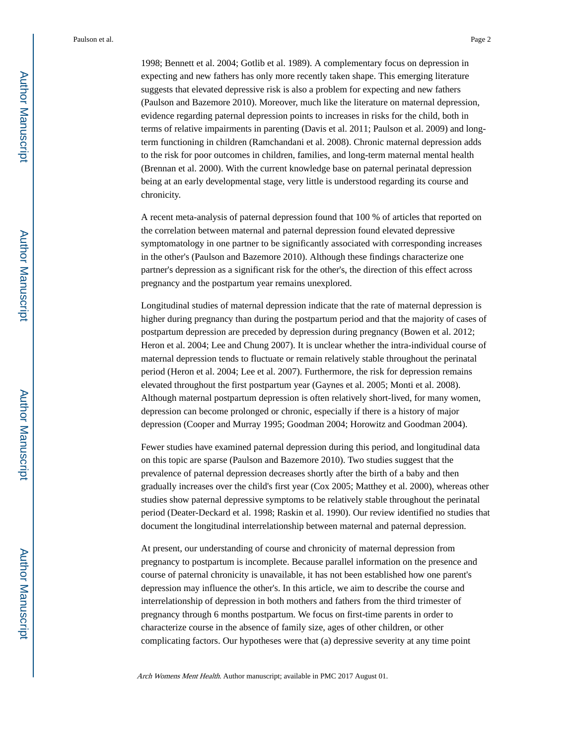1998; Bennett et al. 2004; Gotlib et al. 1989). A complementary focus on depression in expecting and new fathers has only more recently taken shape. This emerging literature suggests that elevated depressive risk is also a problem for expecting and new fathers (Paulson and Bazemore 2010). Moreover, much like the literature on maternal depression, evidence regarding paternal depression points to increases in risks for the child, both in terms of relative impairments in parenting (Davis et al. 2011; Paulson et al. 2009) and longterm functioning in children (Ramchandani et al. 2008). Chronic maternal depression adds to the risk for poor outcomes in children, families, and long-term maternal mental health (Brennan et al. 2000). With the current knowledge base on paternal perinatal depression being at an early developmental stage, very little is understood regarding its course and chronicity.

A recent meta-analysis of paternal depression found that 100 % of articles that reported on the correlation between maternal and paternal depression found elevated depressive symptomatology in one partner to be significantly associated with corresponding increases in the other's (Paulson and Bazemore 2010). Although these findings characterize one partner's depression as a significant risk for the other's, the direction of this effect across pregnancy and the postpartum year remains unexplored.

Longitudinal studies of maternal depression indicate that the rate of maternal depression is higher during pregnancy than during the postpartum period and that the majority of cases of postpartum depression are preceded by depression during pregnancy (Bowen et al. 2012; Heron et al. 2004; Lee and Chung 2007). It is unclear whether the intra-individual course of maternal depression tends to fluctuate or remain relatively stable throughout the perinatal period (Heron et al. 2004; Lee et al. 2007). Furthermore, the risk for depression remains elevated throughout the first postpartum year (Gaynes et al. 2005; Monti et al. 2008). Although maternal postpartum depression is often relatively short-lived, for many women, depression can become prolonged or chronic, especially if there is a history of major depression (Cooper and Murray 1995; Goodman 2004; Horowitz and Goodman 2004).

Fewer studies have examined paternal depression during this period, and longitudinal data on this topic are sparse (Paulson and Bazemore 2010). Two studies suggest that the prevalence of paternal depression decreases shortly after the birth of a baby and then gradually increases over the child's first year (Cox 2005; Matthey et al. 2000), whereas other studies show paternal depressive symptoms to be relatively stable throughout the perinatal period (Deater-Deckard et al. 1998; Raskin et al. 1990). Our review identified no studies that document the longitudinal interrelationship between maternal and paternal depression.

At present, our understanding of course and chronicity of maternal depression from pregnancy to postpartum is incomplete. Because parallel information on the presence and course of paternal chronicity is unavailable, it has not been established how one parent's depression may influence the other's. In this article, we aim to describe the course and interrelationship of depression in both mothers and fathers from the third trimester of pregnancy through 6 months postpartum. We focus on first-time parents in order to characterize course in the absence of family size, ages of other children, or other complicating factors. Our hypotheses were that (a) depressive severity at any time point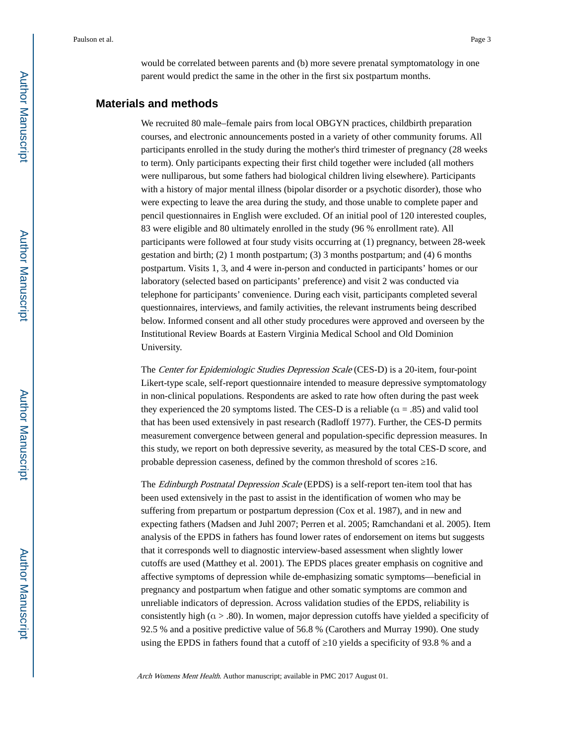would be correlated between parents and (b) more severe prenatal symptomatology in one parent would predict the same in the other in the first six postpartum months.

#### **Materials and methods**

We recruited 80 male–female pairs from local OBGYN practices, childbirth preparation courses, and electronic announcements posted in a variety of other community forums. All participants enrolled in the study during the mother's third trimester of pregnancy (28 weeks to term). Only participants expecting their first child together were included (all mothers were nulliparous, but some fathers had biological children living elsewhere). Participants with a history of major mental illness (bipolar disorder or a psychotic disorder), those who were expecting to leave the area during the study, and those unable to complete paper and pencil questionnaires in English were excluded. Of an initial pool of 120 interested couples, 83 were eligible and 80 ultimately enrolled in the study (96 % enrollment rate). All participants were followed at four study visits occurring at (1) pregnancy, between 28-week gestation and birth; (2) 1 month postpartum; (3) 3 months postpartum; and (4) 6 months postpartum. Visits 1, 3, and 4 were in-person and conducted in participants' homes or our laboratory (selected based on participants' preference) and visit 2 was conducted via telephone for participants' convenience. During each visit, participants completed several questionnaires, interviews, and family activities, the relevant instruments being described below. Informed consent and all other study procedures were approved and overseen by the Institutional Review Boards at Eastern Virginia Medical School and Old Dominion University.

The Center for Epidemiologic Studies Depression Scale (CES-D) is a 20-item, four-point Likert-type scale, self-report questionnaire intended to measure depressive symptomatology in non-clinical populations. Respondents are asked to rate how often during the past week they experienced the 20 symptoms listed. The CES-D is a reliable ( $\alpha = .85$ ) and valid tool that has been used extensively in past research (Radloff 1977). Further, the CES-D permits measurement convergence between general and population-specific depression measures. In this study, we report on both depressive severity, as measured by the total CES-D score, and probable depression caseness, defined by the common threshold of scores 16.

The Edinburgh Postnatal Depression Scale (EPDS) is a self-report ten-item tool that has been used extensively in the past to assist in the identification of women who may be suffering from prepartum or postpartum depression (Cox et al. 1987), and in new and expecting fathers (Madsen and Juhl 2007; Perren et al. 2005; Ramchandani et al. 2005). Item analysis of the EPDS in fathers has found lower rates of endorsement on items but suggests that it corresponds well to diagnostic interview-based assessment when slightly lower cutoffs are used (Matthey et al. 2001). The EPDS places greater emphasis on cognitive and affective symptoms of depression while de-emphasizing somatic symptoms—beneficial in pregnancy and postpartum when fatigue and other somatic symptoms are common and unreliable indicators of depression. Across validation studies of the EPDS, reliability is consistently high ( $\alpha$  > .80). In women, major depression cutoffs have yielded a specificity of 92.5 % and a positive predictive value of 56.8 % (Carothers and Murray 1990). One study using the EPDS in fathers found that a cutoff of  $\ 10$  yields a specificity of 93.8 % and a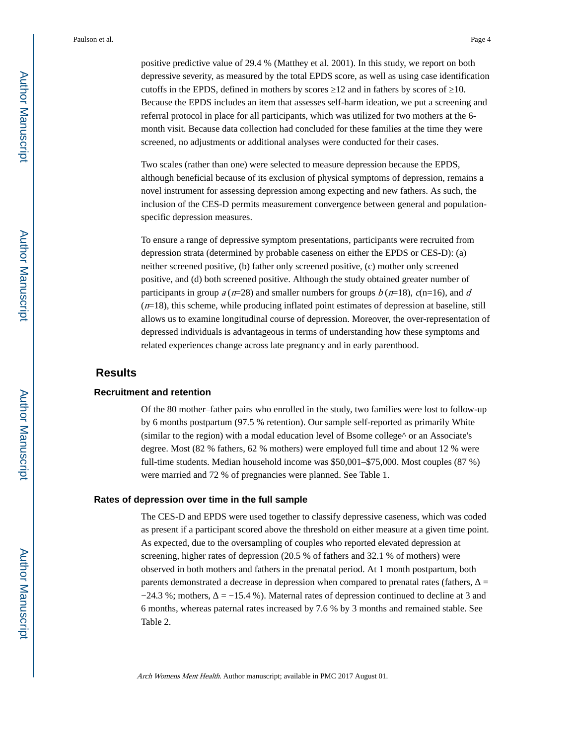positive predictive value of 29.4 % (Matthey et al. 2001). In this study, we report on both depressive severity, as measured by the total EPDS score, as well as using case identification cutoffs in the EPDS, defined in mothers by scores  $\frac{12}{2}$  and in fathers by scores of  $\frac{10}{2}$ . Because the EPDS includes an item that assesses self-harm ideation, we put a screening and referral protocol in place for all participants, which was utilized for two mothers at the 6 month visit. Because data collection had concluded for these families at the time they were screened, no adjustments or additional analyses were conducted for their cases.

Two scales (rather than one) were selected to measure depression because the EPDS, although beneficial because of its exclusion of physical symptoms of depression, remains a novel instrument for assessing depression among expecting and new fathers. As such, the inclusion of the CES-D permits measurement convergence between general and populationspecific depression measures.

To ensure a range of depressive symptom presentations, participants were recruited from depression strata (determined by probable caseness on either the EPDS or CES-D): (a) neither screened positive, (b) father only screened positive, (c) mother only screened positive, and (d) both screened positive. Although the study obtained greater number of participants in group  $a (n=28)$  and smaller numbers for groups  $b (n=18)$ ,  $c(n=16)$ , and d  $(n=18)$ , this scheme, while producing inflated point estimates of depression at baseline, still allows us to examine longitudinal course of depression. Moreover, the over-representation of depressed individuals is advantageous in terms of understanding how these symptoms and related experiences change across late pregnancy and in early parenthood.

#### **Results**

#### **Recruitment and retention**

Of the 80 mother–father pairs who enrolled in the study, two families were lost to follow-up by 6 months postpartum (97.5 % retention). Our sample self-reported as primarily White (similar to the region) with a modal education level of Bsome college^ or an Associate's degree. Most (82 % fathers, 62 % mothers) were employed full time and about 12 % were full-time students. Median household income was \$50,001–\$75,000. Most couples (87 %) were married and 72 % of pregnancies were planned. See Table 1.

#### **Rates of depression over time in the full sample**

The CES-D and EPDS were used together to classify depressive caseness, which was coded as present if a participant scored above the threshold on either measure at a given time point. As expected, due to the oversampling of couples who reported elevated depression at screening, higher rates of depression (20.5 % of fathers and 32.1 % of mothers) were observed in both mothers and fathers in the prenatal period. At 1 month postpartum, both parents demonstrated a decrease in depression when compared to prenatal rates (fathers,  $=$  $-24.3$  %; mothers,  $= -15.4$  %). Maternal rates of depression continued to decline at 3 and 6 months, whereas paternal rates increased by 7.6 % by 3 months and remained stable. See Table 2.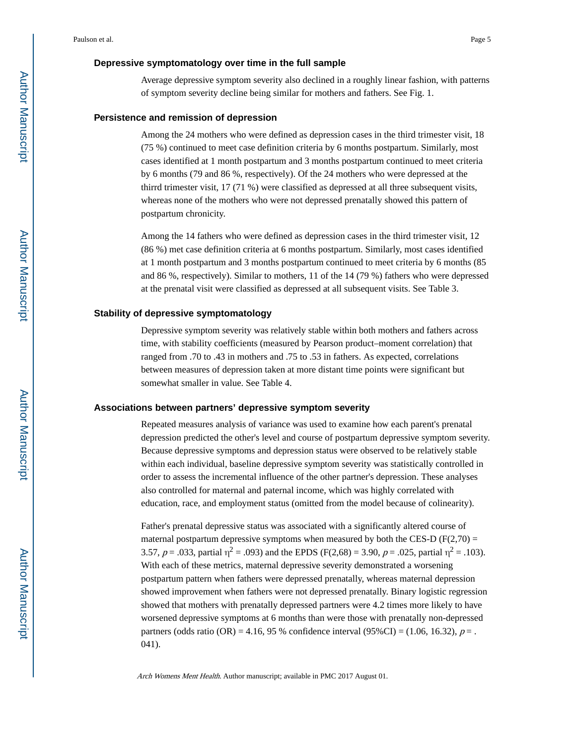#### **Depressive symptomatology over time in the full sample**

Average depressive symptom severity also declined in a roughly linear fashion, with patterns of symptom severity decline being similar for mothers and fathers. See Fig. 1.

#### **Persistence and remission of depression**

Among the 24 mothers who were defined as depression cases in the third trimester visit, 18 (75 %) continued to meet case definition criteria by 6 months postpartum. Similarly, most cases identified at 1 month postpartum and 3 months postpartum continued to meet criteria by 6 months (79 and 86 %, respectively). Of the 24 mothers who were depressed at the thirrd trimester visit, 17 (71 %) were classified as depressed at all three subsequent visits, whereas none of the mothers who were not depressed prenatally showed this pattern of postpartum chronicity.

Among the 14 fathers who were defined as depression cases in the third trimester visit, 12 (86 %) met case definition criteria at 6 months postpartum. Similarly, most cases identified at 1 month postpartum and 3 months postpartum continued to meet criteria by 6 months (85 and 86 %, respectively). Similar to mothers, 11 of the 14 (79 %) fathers who were depressed at the prenatal visit were classified as depressed at all subsequent visits. See Table 3.

#### **Stability of depressive symptomatology**

Depressive symptom severity was relatively stable within both mothers and fathers across time, with stability coefficients (measured by Pearson product–moment correlation) that ranged from .70 to .43 in mothers and .75 to .53 in fathers. As expected, correlations between measures of depression taken at more distant time points were significant but somewhat smaller in value. See Table 4.

#### **Associations between partners' depressive symptom severity**

Repeated measures analysis of variance was used to examine how each parent's prenatal depression predicted the other's level and course of postpartum depressive symptom severity. Because depressive symptoms and depression status were observed to be relatively stable within each individual, baseline depressive symptom severity was statistically controlled in order to assess the incremental influence of the other partner's depression. These analyses also controlled for maternal and paternal income, which was highly correlated with education, race, and employment status (omitted from the model because of colinearity).

Father's prenatal depressive status was associated with a significantly altered course of maternal postpartum depressive symptoms when measured by both the CES-D ( $F(2,70) =$ 3.57,  $p = .033$ , partial  $\eta^2 = .093$ ) and the EPDS (F(2,68) = 3.90,  $p = .025$ , partial  $\eta^2 = .103$ ). With each of these metrics, maternal depressive severity demonstrated a worsening postpartum pattern when fathers were depressed prenatally, whereas maternal depression showed improvement when fathers were not depressed prenatally. Binary logistic regression showed that mothers with prenatally depressed partners were 4.2 times more likely to have worsened depressive symptoms at 6 months than were those with prenatally non-depressed partners (odds ratio (OR) = 4.16, 95 % confidence interval (95%CI) = (1.06, 16.32),  $p =$ . 041).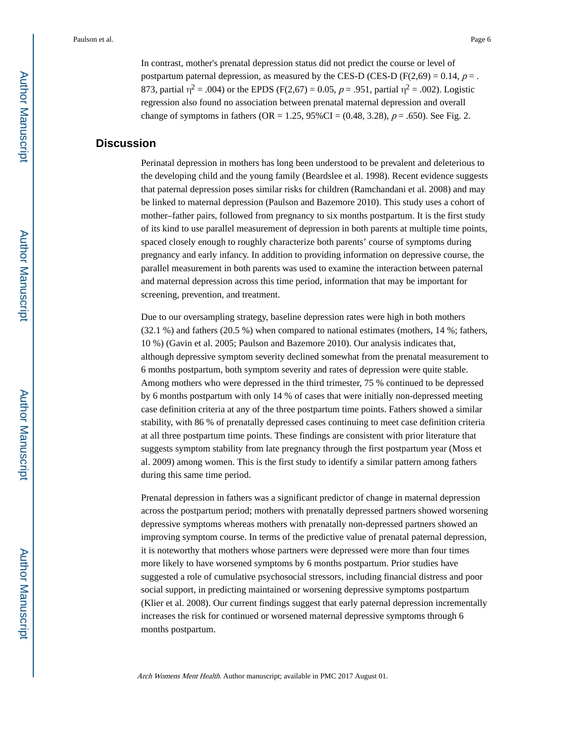In contrast, mother's prenatal depression status did not predict the course or level of

postpartum paternal depression, as measured by the CES-D (CES-D ( $F(2,69) = 0.14$ ,  $p =$ .) 873, partial  $\eta^2 = .004$ ) or the EPDS (F(2,67) = 0.05, p = .951, partial  $\eta^2 = .002$ ). Logistic regression also found no association between prenatal maternal depression and overall change of symptoms in fathers (OR = 1.25,  $95\%$ CI = (0.48, 3.28),  $p = .650$ ). See Fig. 2.

#### **Discussion**

Perinatal depression in mothers has long been understood to be prevalent and deleterious to the developing child and the young family (Beardslee et al. 1998). Recent evidence suggests that paternal depression poses similar risks for children (Ramchandani et al. 2008) and may be linked to maternal depression (Paulson and Bazemore 2010). This study uses a cohort of mother–father pairs, followed from pregnancy to six months postpartum. It is the first study of its kind to use parallel measurement of depression in both parents at multiple time points, spaced closely enough to roughly characterize both parents' course of symptoms during pregnancy and early infancy. In addition to providing information on depressive course, the parallel measurement in both parents was used to examine the interaction between paternal and maternal depression across this time period, information that may be important for screening, prevention, and treatment.

Due to our oversampling strategy, baseline depression rates were high in both mothers (32.1 %) and fathers (20.5 %) when compared to national estimates (mothers, 14 %; fathers, 10 %) (Gavin et al. 2005; Paulson and Bazemore 2010). Our analysis indicates that, although depressive symptom severity declined somewhat from the prenatal measurement to 6 months postpartum, both symptom severity and rates of depression were quite stable. Among mothers who were depressed in the third trimester, 75 % continued to be depressed by 6 months postpartum with only 14 % of cases that were initially non-depressed meeting case definition criteria at any of the three postpartum time points. Fathers showed a similar stability, with 86 % of prenatally depressed cases continuing to meet case definition criteria at all three postpartum time points. These findings are consistent with prior literature that suggests symptom stability from late pregnancy through the first postpartum year (Moss et al. 2009) among women. This is the first study to identify a similar pattern among fathers during this same time period.

Prenatal depression in fathers was a significant predictor of change in maternal depression across the postpartum period; mothers with prenatally depressed partners showed worsening depressive symptoms whereas mothers with prenatally non-depressed partners showed an improving symptom course. In terms of the predictive value of prenatal paternal depression, it is noteworthy that mothers whose partners were depressed were more than four times more likely to have worsened symptoms by 6 months postpartum. Prior studies have suggested a role of cumulative psychosocial stressors, including financial distress and poor social support, in predicting maintained or worsening depressive symptoms postpartum (Klier et al. 2008). Our current findings suggest that early paternal depression incrementally increases the risk for continued or worsened maternal depressive symptoms through 6 months postpartum.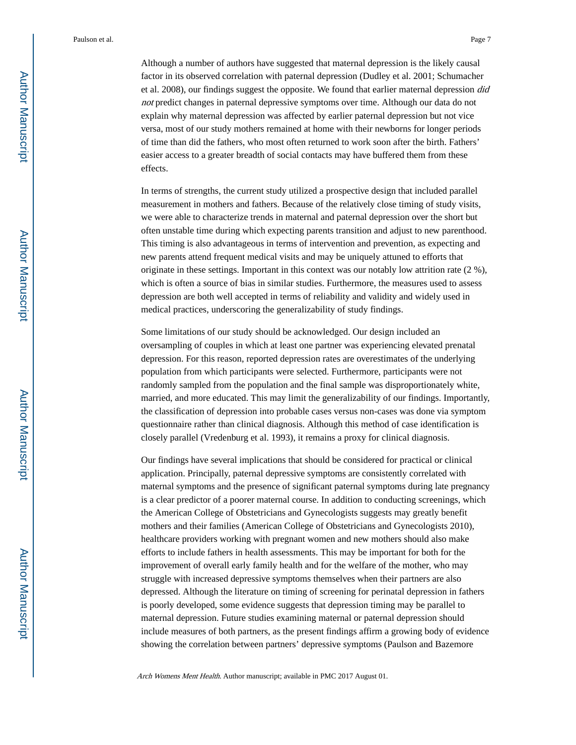factor in its observed correlation with paternal depression (Dudley et al. 2001; Schumacher et al. 2008), our findings suggest the opposite. We found that earlier maternal depression did not predict changes in paternal depressive symptoms over time. Although our data do not explain why maternal depression was affected by earlier paternal depression but not vice versa, most of our study mothers remained at home with their newborns for longer periods of time than did the fathers, who most often returned to work soon after the birth. Fathers' easier access to a greater breadth of social contacts may have buffered them from these effects.

In terms of strengths, the current study utilized a prospective design that included parallel measurement in mothers and fathers. Because of the relatively close timing of study visits, we were able to characterize trends in maternal and paternal depression over the short but often unstable time during which expecting parents transition and adjust to new parenthood. This timing is also advantageous in terms of intervention and prevention, as expecting and new parents attend frequent medical visits and may be uniquely attuned to efforts that originate in these settings. Important in this context was our notably low attrition rate (2 %), which is often a source of bias in similar studies. Furthermore, the measures used to assess depression are both well accepted in terms of reliability and validity and widely used in medical practices, underscoring the generalizability of study findings.

Some limitations of our study should be acknowledged. Our design included an oversampling of couples in which at least one partner was experiencing elevated prenatal depression. For this reason, reported depression rates are overestimates of the underlying population from which participants were selected. Furthermore, participants were not randomly sampled from the population and the final sample was disproportionately white, married, and more educated. This may limit the generalizability of our findings. Importantly, the classification of depression into probable cases versus non-cases was done via symptom questionnaire rather than clinical diagnosis. Although this method of case identification is closely parallel (Vredenburg et al. 1993), it remains a proxy for clinical diagnosis.

Our findings have several implications that should be considered for practical or clinical application. Principally, paternal depressive symptoms are consistently correlated with maternal symptoms and the presence of significant paternal symptoms during late pregnancy is a clear predictor of a poorer maternal course. In addition to conducting screenings, which the American College of Obstetricians and Gynecologists suggests may greatly benefit mothers and their families (American College of Obstetricians and Gynecologists 2010), healthcare providers working with pregnant women and new mothers should also make efforts to include fathers in health assessments. This may be important for both for the improvement of overall early family health and for the welfare of the mother, who may struggle with increased depressive symptoms themselves when their partners are also depressed. Although the literature on timing of screening for perinatal depression in fathers is poorly developed, some evidence suggests that depression timing may be parallel to maternal depression. Future studies examining maternal or paternal depression should include measures of both partners, as the present findings affirm a growing body of evidence showing the correlation between partners' depressive symptoms (Paulson and Bazemore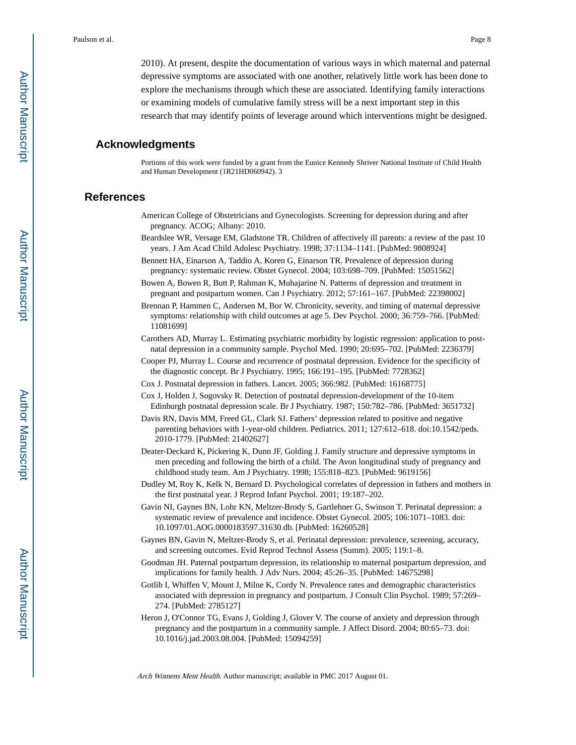2010). At present, despite the documentation of various ways in which maternal and paternal depressive symptoms are associated with one another, relatively little work has been done to explore the mechanisms through which these are associated. Identifying family interactions or examining models of cumulative family stress will be a next important step in this research that may identify points of leverage around which interventions might be designed.

#### **Acknowledgments**

Portions of this work were funded by a grant from the Eunice Kennedy Shriver National Institute of Child Health and Human Development (1R21HD060942). 3

#### **References**

- American College of Obstetricians and Gynecologists. Screening for depression during and after pregnancy. ACOG; Albany: 2010.
- Beardslee WR, Versage EM, Gladstone TR. Children of affectively ill parents: a review of the past 10 years. J Am Acad Child Adolesc Psychiatry. 1998; 37:1134–1141. [PubMed: 9808924]
- Bennett HA, Einarson A, Taddio A, Koren G, Einarson TR. Prevalence of depression during pregnancy: systematic review. Obstet Gynecol. 2004; 103:698–709. [PubMed: 15051562]
- Bowen A, Bowen R, Butt P, Rahman K, Muhajarine N. Patterns of depression and treatment in pregnant and postpartum women. Can J Psychiatry. 2012; 57:161–167. [PubMed: 22398002]
- Brennan P, Hammen C, Andersen M, Bor W. Chronicity, severity, and timing of maternal depressive symptoms: relationship with child outcomes at age 5. Dev Psychol. 2000; 36:759–766. [PubMed: 11081699]
- Carothers AD, Murray L. Estimating psychiatric morbidity by logistic regression: application to postnatal depression in a community sample. Psychol Med. 1990; 20:695–702. [PubMed: 2236379]
- Cooper PJ, Murray L. Course and recurrence of postnatal depression. Evidence for the specificity of the diagnostic concept. Br J Psychiatry. 1995; 166:191–195. [PubMed: 7728362]
- Cox J. Postnatal depression in fathers. Lancet. 2005; 366:982. [PubMed: 16168775]
- Cox J, Holden J, Sogovsky R. Detection of postnatal depression-development of the 10-item Edinburgh postnatal depression scale. Br J Psychiatry. 1987; 150:782–786. [PubMed: 3651732]
- Davis RN, Davis MM, Freed GL, Clark SJ. Fathers' depression related to positive and negative parenting behaviors with 1-year-old children. Pediatrics. 2011; 127:612–618. doi:10.1542/peds. 2010-1779. [PubMed: 21402627]
- Deater-Deckard K, Pickering K, Dunn JF, Golding J. Family structure and depressive symptoms in men preceding and following the birth of a child. The Avon longitudinal study of pregnancy and childhood study team. Am J Psychiatry. 1998; 155:818–823. [PubMed: 9619156]
- Dudley M, Roy K, Kelk N, Bernard D. Psychological correlates of depression in fathers and mothers in the first postnatal year. J Reprod Infant Psychol. 2001; 19:187–202.
- Gavin NI, Gaynes BN, Lohr KN, Meltzer-Brody S, Gartlehner G, Swinson T. Perinatal depression: a systematic review of prevalence and incidence. Obstet Gynecol. 2005; 106:1071–1083. doi: 10.1097/01.AOG.0000183597.31630.db. [PubMed: 16260528]
- Gaynes BN, Gavin N, Meltzer-Brody S, et al. Perinatal depression: prevalence, screening, accuracy, and screening outcomes. Evid Reprod Technol Assess (Summ). 2005; 119:1–8.
- Goodman JH. Paternal postpartum depression, its relationship to maternal postpartum depression, and implications for family health. J Adv Nurs. 2004; 45:26–35. [PubMed: 14675298]
- Gotlib I, Whiffen V, Mount J, Milne K, Cordy N. Prevalence rates and demographic characteristics associated with depression in pregnancy and postpartum. J Consult Clin Psychol. 1989; 57:269– 274. [PubMed: 2785127]
- Heron J, O'Connor TG, Evans J, Golding J, Glover V. The course of anxiety and depression through pregnancy and the postpartum in a community sample. J Affect Disord. 2004; 80:65–73. doi: 10.1016/j.jad.2003.08.004. [PubMed: 15094259]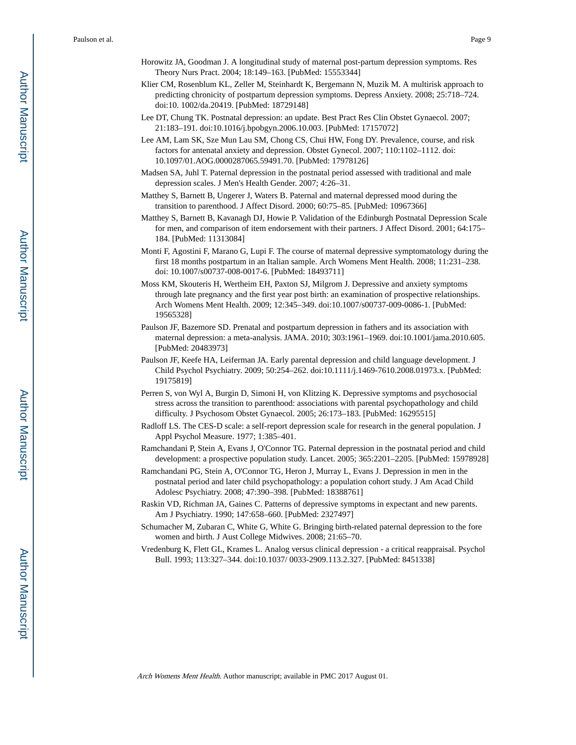- Horowitz JA, Goodman J. A longitudinal study of maternal post-partum depression symptoms. Res Theory Nurs Pract. 2004; 18:149–163. [PubMed: 15553344]
- Klier CM, Rosenblum KL, Zeller M, Steinhardt K, Bergemann N, Muzik M. A multirisk approach to predicting chronicity of postpartum depression symptoms. Depress Anxiety. 2008; 25:718–724. doi:10. 1002/da.20419. [PubMed: 18729148]
- Lee DT, Chung TK. Postnatal depression: an update. Best Pract Res Clin Obstet Gynaecol. 2007; 21:183–191. doi:10.1016/j.bpobgyn.2006.10.003. [PubMed: 17157072]
- Lee AM, Lam SK, Sze Mun Lau SM, Chong CS, Chui HW, Fong DY. Prevalence, course, and risk factors for antenatal anxiety and depression. Obstet Gynecol. 2007; 110:1102–1112. doi: 10.1097/01.AOG.0000287065.59491.70. [PubMed: 17978126]
- Madsen SA, Juhl T. Paternal depression in the postnatal period assessed with traditional and male depression scales. J Men's Health Gender. 2007; 4:26–31.
- Matthey S, Barnett B, Ungerer J, Waters B. Paternal and maternal depressed mood during the transition to parenthood. J Affect Disord. 2000; 60:75–85. [PubMed: 10967366]
- Matthey S, Barnett B, Kavanagh DJ, Howie P. Validation of the Edinburgh Postnatal Depression Scale for men, and comparison of item endorsement with their partners. J Affect Disord. 2001; 64:175– 184. [PubMed: 11313084]
- Monti F, Agostini F, Marano G, Lupi F. The course of maternal depressive symptomatology during the first 18 months postpartum in an Italian sample. Arch Womens Ment Health. 2008; 11:231–238. doi: 10.1007/s00737-008-0017-6. [PubMed: 18493711]
- Moss KM, Skouteris H, Wertheim EH, Paxton SJ, Milgrom J. Depressive and anxiety symptoms through late pregnancy and the first year post birth: an examination of prospective relationships. Arch Womens Ment Health. 2009; 12:345–349. doi:10.1007/s00737-009-0086-1. [PubMed: 19565328]
- Paulson JF, Bazemore SD. Prenatal and postpartum depression in fathers and its association with maternal depression: a meta-analysis. JAMA. 2010; 303:1961–1969. doi:10.1001/jama.2010.605. [PubMed: 20483973]
- Paulson JF, Keefe HA, Leiferman JA. Early parental depression and child language development. J Child Psychol Psychiatry. 2009; 50:254–262. doi:10.1111/j.1469-7610.2008.01973.x. [PubMed: 19175819]
- Perren S, von Wyl A, Burgin D, Simoni H, von Klitzing K. Depressive symptoms and psychosocial stress across the transition to parenthood: associations with parental psychopathology and child difficulty. J Psychosom Obstet Gynaecol. 2005; 26:173–183. [PubMed: 16295515]
- Radloff LS. The CES-D scale: a self-report depression scale for research in the general population. J Appl Psychol Measure. 1977; 1:385–401.
- Ramchandani P, Stein A, Evans J, O'Connor TG. Paternal depression in the postnatal period and child development: a prospective population study. Lancet. 2005; 365:2201–2205. [PubMed: 15978928]
- Ramchandani PG, Stein A, O'Connor TG, Heron J, Murray L, Evans J. Depression in men in the postnatal period and later child psychopathology: a population cohort study. J Am Acad Child Adolesc Psychiatry. 2008; 47:390–398. [PubMed: 18388761]
- Raskin VD, Richman JA, Gaines C. Patterns of depressive symptoms in expectant and new parents. Am J Psychiatry. 1990; 147:658–660. [PubMed: 2327497]
- Schumacher M, Zubaran C, White G, White G. Bringing birth-related paternal depression to the fore women and birth. J Aust College Midwives. 2008; 21:65–70.
- Vredenburg K, Flett GL, Krames L. Analog versus clinical depression a critical reappraisal. Psychol Bull. 1993; 113:327–344. doi:10.1037/ 0033-2909.113.2.327. [PubMed: 8451338]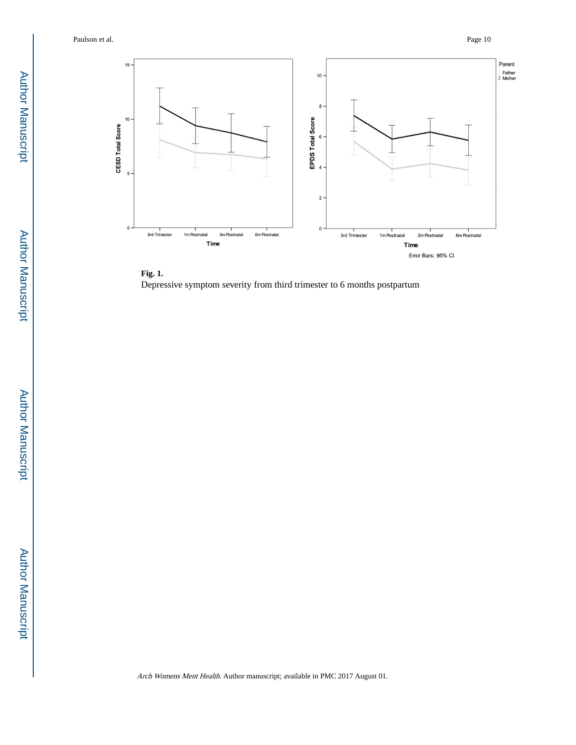

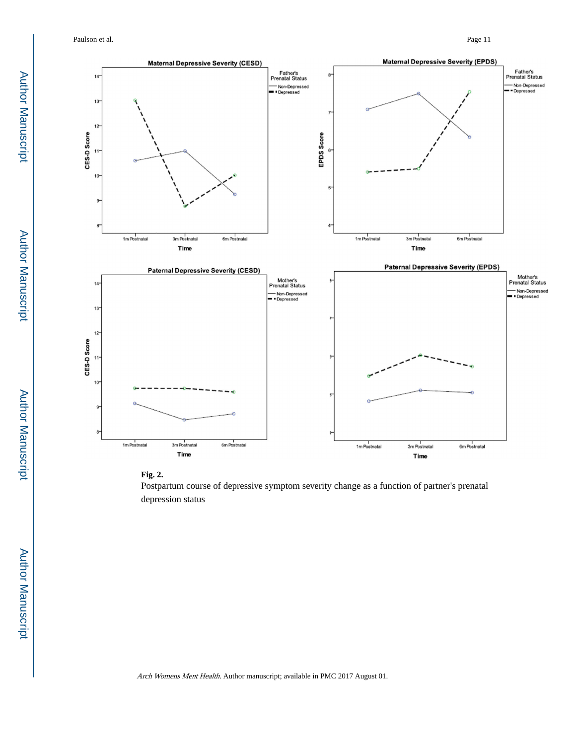Paulson et al. Page 11





Postpartum course of depressive symptom severity change as a function of partner's prenatal depression status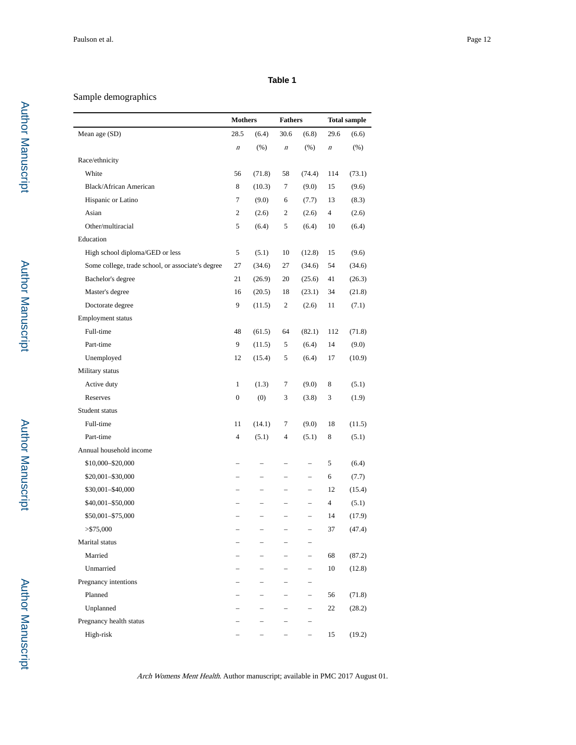#### **Table 1**

### Sample demographics

|                                                   | Mothers                  |                                 | <b>Fathers</b>           |                                   | <b>Total sample</b> |         |
|---------------------------------------------------|--------------------------|---------------------------------|--------------------------|-----------------------------------|---------------------|---------|
| Mean age (SD)                                     | 28.5                     | (6.4)                           | 30.6                     | (6.8)                             | 29.6                | (6.6)   |
|                                                   | $\boldsymbol{n}$         | $(\% )$                         | $\sqrt{n}$               | $(\%)$                            | $\boldsymbol{n}$    | $(\% )$ |
| Race/ethnicity                                    |                          |                                 |                          |                                   |                     |         |
| White                                             | 56                       | (71.8)                          | 58                       | (74.4)                            | 114                 | (73.1)  |
| <b>Black/African American</b>                     | 8                        | (10.3)                          | 7                        | (9.0)                             | 15                  | (9.6)   |
| Hispanic or Latino                                | 7                        | (9.0)                           | 6                        | (7.7)                             | 13                  | (8.3)   |
| Asian                                             | $\overline{c}$           | (2.6)                           | $\overline{c}$           | (2.6)                             | $\overline{4}$      | (2.6)   |
| Other/multiracial                                 | 5                        | (6.4)                           | 5                        | (6.4)                             | 10                  | (6.4)   |
| Education                                         |                          |                                 |                          |                                   |                     |         |
| High school diploma/GED or less                   | 5                        | (5.1)                           | 10                       | (12.8)                            | 15                  | (9.6)   |
| Some college, trade school, or associate's degree | 27                       | (34.6)                          | 27                       | (34.6)                            | 54                  | (34.6)  |
| Bachelor's degree                                 | 21                       | (26.9)                          | 20                       | (25.6)                            | 41                  | (26.3)  |
| Master's degree                                   | 16                       | (20.5)                          | 18                       | (23.1)                            | 34                  | (21.8)  |
| Doctorate degree                                  | 9                        | (11.5)                          | $\overline{c}$           | (2.6)                             | 11                  | (7.1)   |
| Employment status                                 |                          |                                 |                          |                                   |                     |         |
| Full-time                                         | 48                       | (61.5)                          | 64                       | (82.1)                            | 112                 | (71.8)  |
| Part-time                                         | 9                        | (11.5)                          | 5                        | (6.4)                             | 14                  | (9.0)   |
| Unemployed                                        | 12                       | (15.4)                          | 5                        | (6.4)                             | 17                  | (10.9)  |
| Military status                                   |                          |                                 |                          |                                   |                     |         |
| Active duty                                       | $\mathbf{1}$             | (1.3)                           | 7                        | (9.0)                             | 8                   | (5.1)   |
| Reserves                                          | $\boldsymbol{0}$         | (0)                             | 3                        | (3.8)                             | 3                   | (1.9)   |
| Student status                                    |                          |                                 |                          |                                   |                     |         |
| Full-time                                         | 11                       | (14.1)                          | 7                        | (9.0)                             | 18                  | (11.5)  |
| Part-time                                         | $\overline{4}$           | (5.1)                           | $\overline{\mathcal{L}}$ | (5.1)                             | 8                   | (5.1)   |
| Annual household income                           |                          |                                 |                          |                                   |                     |         |
| \$10,000-\$20,000                                 |                          |                                 |                          |                                   | 5                   | (6.4)   |
| \$20,001-\$30,000                                 |                          |                                 |                          | $\overline{\phantom{0}}$          | 6                   | (7.7)   |
| \$30,001-\$40,000                                 |                          |                                 |                          |                                   | 12                  | (15.4)  |
| \$40,001-\$50,000                                 |                          |                                 |                          | $\overline{\phantom{0}}$          | $\overline{4}$      | (5.1)   |
| \$50,001-\$75,000                                 |                          |                                 |                          |                                   | 14                  | (17.9)  |
| $>$ \$75,000                                      |                          |                                 |                          |                                   | 37                  | (47.4)  |
| Marital status                                    | −.                       | Ξ.                              | $\qquad \qquad -$        | -                                 |                     |         |
| Married                                           | $\overline{\phantom{a}}$ | $\frac{1}{2}$ and $\frac{1}{2}$ | $\equiv$                 | $\frac{1}{2}$                     | 68                  | (87.2)  |
| Unmarried                                         |                          |                                 |                          |                                   | 10                  | (12.8)  |
| Pregnancy intentions                              | $\sim$                   | $\equiv$                        | $\overline{\phantom{0}}$ | -                                 |                     |         |
| Planned                                           |                          | $\equiv$                        | Ξ.                       | $\equiv$                          | 56                  | (71.8)  |
| Unplanned                                         |                          |                                 |                          |                                   | 22                  | (28.2)  |
| Pregnancy health status                           | - 1                      | $-$                             | $\overline{\phantom{0}}$ | $\hspace{1.0cm} - \hspace{1.0cm}$ |                     |         |
| High-risk                                         |                          | $\equiv$                        | $\frac{1}{2}$            | $\qquad \qquad -$                 | 15                  | (19.2)  |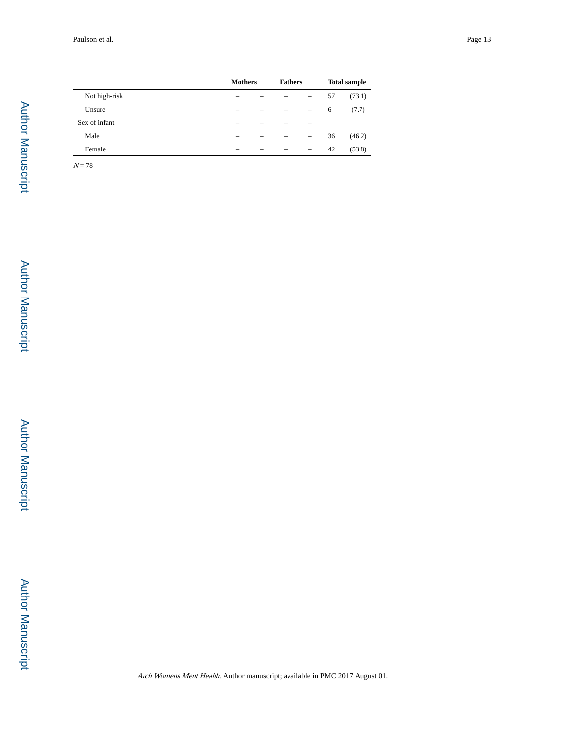|               | <b>Mothers</b> |  | <b>Fathers</b> |                          | <b>Total sample</b> |        |
|---------------|----------------|--|----------------|--------------------------|---------------------|--------|
| Not high-risk |                |  |                |                          | 57                  | (73.1) |
| Unsure        |                |  |                | $\overline{\phantom{0}}$ | 6                   | (7.7)  |
| Sex of infant |                |  |                |                          |                     |        |
| Male          |                |  |                |                          | 36                  | (46.2) |
| Female        |                |  |                | $\overline{\phantom{0}}$ | 42                  | (53.8) |

 $N = 78$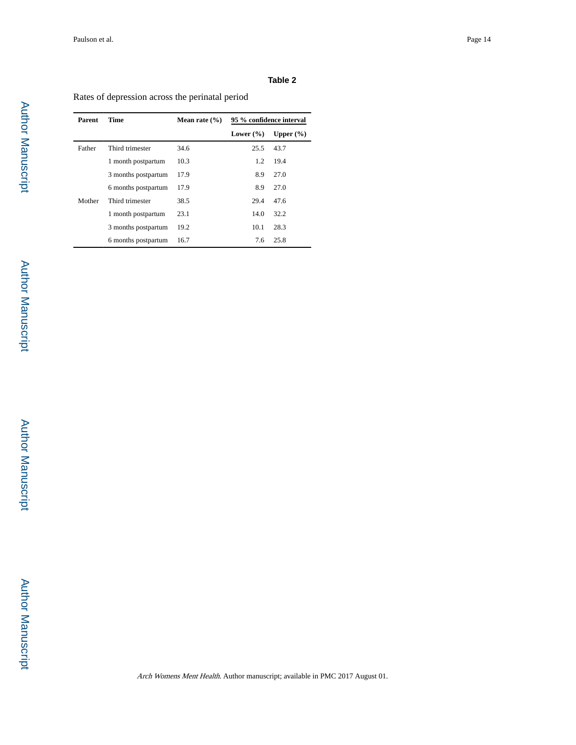#### **Table 2**

#### Rates of depression across the perinatal period

| <b>Parent</b> | Time                | Mean rate $(\% )$ | 95 % confidence interval |               |
|---------------|---------------------|-------------------|--------------------------|---------------|
|               |                     |                   | Lower $(\% )$            | Upper $(\% )$ |
| Father        | Third trimester     | 34.6              | 25.5                     | 43.7          |
|               | 1 month postpartum  | 10.3              | 1.2                      | 19.4          |
|               | 3 months postpartum | 17.9              | 8.9                      | 27.0          |
|               | 6 months postpartum | 17.9              | 8.9                      | 27.0          |
| Mother        | Third trimester     | 38.5              | 29.4                     | 47.6          |
|               | 1 month postpartum  | 23.1              | 14.0                     | 32.2          |
|               | 3 months postpartum | 19.2              | 10.1                     | 28.3          |
|               | 6 months postpartum | 16.7              | 7.6                      | 25.8          |

Author Manuscript

**Author Manuscript** 

Author Manuscript

**Author Manuscript**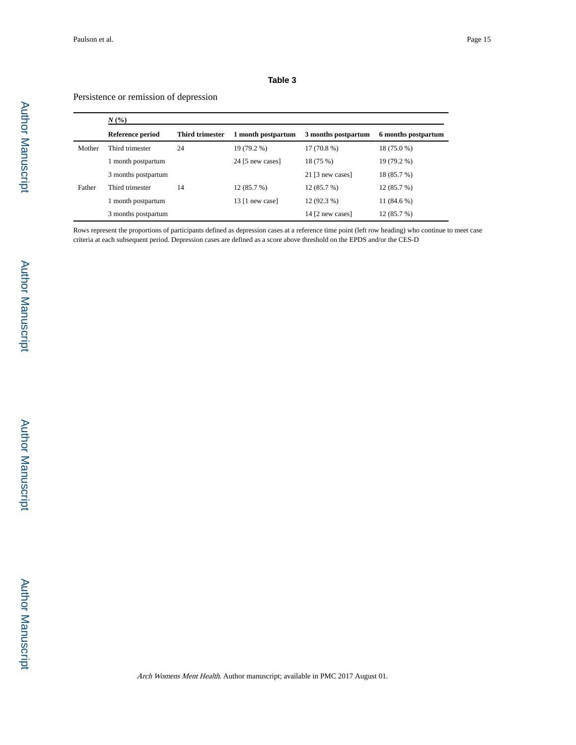$\overline{a}$ 

#### **Table 3**

#### Persistence or remission of depression

|        | $N\left(\frac{6}{6}\right)$ |                        |                    |                     |                     |
|--------|-----------------------------|------------------------|--------------------|---------------------|---------------------|
|        | Reference period            | <b>Third trimester</b> | 1 month postpartum | 3 months postpartum | 6 months postpartum |
| Mother | Third trimester             | 24                     | 19 (79.2 %)        | $17(70.8\%)$        | 18 (75.0 %)         |
|        | 1 month postpartum          |                        | 24 [5 new cases]   | 18 (75 %)           | 19 (79.2 %)         |
|        | 3 months postpartum         |                        |                    | $21$ [3 new cases]  | 18 (85.7 %)         |
| Father | Third trimester             | 14                     | 12 (85.7 %)        | 12(85.7%)           | 12 (85.7 %)         |
|        | 1 month postpartum          |                        | $13$ [1 new case]  | $12(92.3\%)$        | 11 $(84.6\%)$       |
|        | 3 months postpartum         |                        |                    | 14 [2 new cases]    | 12 (85.7 %)         |

Rows represent the proportions of participants defined as depression cases at a reference time point (left row heading) who continue to meet case criteria at each subsequent period. Depression cases are defined as a score above threshold on the EPDS and/or the CES-D